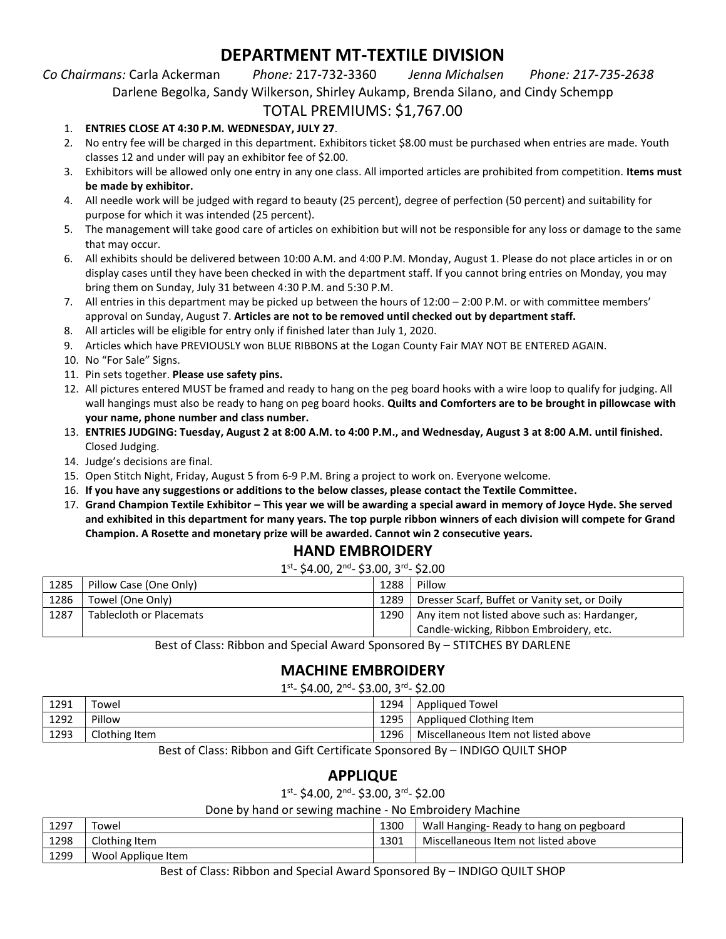# **DEPARTMENT MT-TEXTILE DIVISION**

### *Co Chairmans:* Carla Ackerman *Phone:* 217-732-3360 *Jenna Michalsen Phone: 217-735-2638*

Darlene Begolka, Sandy Wilkerson, Shirley Aukamp, Brenda Silano, and Cindy Schempp

### TOTAL PREMIUMS: \$1,767.00

### 1. **ENTRIES CLOSE AT 4:30 P.M. WEDNESDAY, JULY 27**.

- 2. No entry fee will be charged in this department. Exhibitors ticket \$8.00 must be purchased when entries are made. Youth classes 12 and under will pay an exhibitor fee of \$2.00.
- 3. Exhibitors will be allowed only one entry in any one class. All imported articles are prohibited from competition. **Items must be made by exhibitor.**
- 4. All needle work will be judged with regard to beauty (25 percent), degree of perfection (50 percent) and suitability for purpose for which it was intended (25 percent).
- 5. The management will take good care of articles on exhibition but will not be responsible for any loss or damage to the same that may occur.
- 6. All exhibits should be delivered between 10:00 A.M. and 4:00 P.M. Monday, August 1. Please do not place articles in or on display cases until they have been checked in with the department staff. If you cannot bring entries on Monday, you may bring them on Sunday, July 31 between 4:30 P.M. and 5:30 P.M.
- 7. All entries in this department may be picked up between the hours of 12:00 2:00 P.M. or with committee members' approval on Sunday, August 7. **Articles are not to be removed until checked out by department staff.**
- 8. All articles will be eligible for entry only if finished later than July 1, 2020.
- 9. Articles which have PREVIOUSLY won BLUE RIBBONS at the Logan County Fair MAY NOT BE ENTERED AGAIN.
- 10. No "For Sale" Signs.
- 11. Pin sets together. **Please use safety pins.**
- 12. All pictures entered MUST be framed and ready to hang on the peg board hooks with a wire loop to qualify for judging. All wall hangings must also be ready to hang on peg board hooks. **Quilts and Comforters are to be brought in pillowcase with your name, phone number and class number.**
- 13. **ENTRIES JUDGING: Tuesday, August 2 at 8:00 A.M. to 4:00 P.M., and Wednesday, August 3 at 8:00 A.M. until finished.** Closed Judging.
- 14. Judge's decisions are final.
- 15. Open Stitch Night, Friday, August 5 from 6-9 P.M. Bring a project to work on. Everyone welcome.
- 16. **If you have any suggestions or additions to the below classes, please contact the Textile Committee.**
- 17. **Grand Champion Textile Exhibitor – This year we will be awarding a special award in memory of Joyce Hyde. She served and exhibited in this department for many years. The top purple ribbon winners of each division will compete for Grand Champion. A Rosette and monetary prize will be awarded. Cannot win 2 consecutive years.**

### **HAND EMBROIDERY**

1<sup>st</sup>- \$4.00, 2<sup>nd</sup>- \$3.00, 3<sup>rd</sup>- \$2.00

| 1285 | Pillow Case (One Only)         | 1288   | Pillow                                        |  |
|------|--------------------------------|--------|-----------------------------------------------|--|
| 1286 | Towel (One Only)               | 1289   | Dresser Scarf, Buffet or Vanity set, or Doily |  |
| 1287 | <b>Tablecloth or Placemats</b> | 1290 l | Any item not listed above such as: Hardanger, |  |
|      |                                |        | Candle-wicking, Ribbon Embroidery, etc.       |  |
|      |                                |        |                                               |  |

Best of Class: Ribbon and Special Award Sponsored By – STITCHES BY DARLENE

# **MACHINE EMBROIDERY**

1<sup>st</sup>- \$4.00, 2<sup>nd</sup>- \$3.00, 3<sup>rd</sup>- \$2.00

| 1291                             | Towel         | 1294 | Appliqued Towel                     |  |
|----------------------------------|---------------|------|-------------------------------------|--|
| 1292                             | Pillow        | 1295 | Appliqued Clothing Item             |  |
| 1293                             | Clothing Item | 1296 | Miscellaneous Item not listed above |  |
| $   -$<br>$  -$<br>$\sim$ $\sim$ |               |      |                                     |  |

Best of Class: Ribbon and Gift Certificate Sponsored By – INDIGO QUILT SHOP

# **APPLIQUE**

1<sup>st</sup>- \$4.00, 2<sup>nd</sup>- \$3.00, 3<sup>rd</sup>- \$2.00

Done by hand or sewing machine - No Embroidery Machine

|      | ີ                  |      |                                        |
|------|--------------------|------|----------------------------------------|
| 1297 | Towel              | 1300 | Wall Hanging-Ready to hang on pegboard |
| 1298 | Clothing Item      | 1301 | Miscellaneous Item not listed above    |
| 1299 | Wool Applique Item |      |                                        |

Best of Class: Ribbon and Special Award Sponsored By – INDIGO QUILT SHOP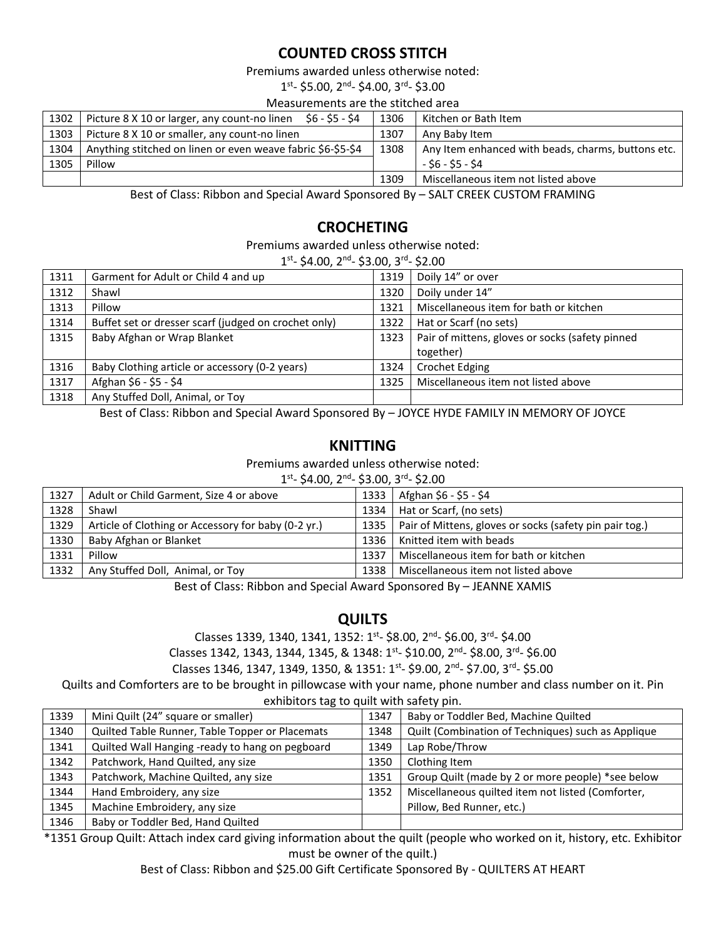### **COUNTED CROSS STITCH**

Premiums awarded unless otherwise noted:

1<sup>st</sup>- \$5.00, 2<sup>nd</sup>- \$4.00, 3<sup>rd</sup>- \$3.00

#### Measurements are the stitched area

| 1302 | S6 - S5 - S4<br>Picture 8 X 10 or larger, any count-no linen | 1306 | Kitchen or Bath Item                               |  |  |
|------|--------------------------------------------------------------|------|----------------------------------------------------|--|--|
| 1303 | Picture 8 X 10 or smaller, any count-no linen                | 1307 | Any Baby Item                                      |  |  |
| 1304 | Anything stitched on linen or even weave fabric \$6-\$5-\$4  | 1308 | Any Item enhanced with beads, charms, buttons etc. |  |  |
| 1305 | Pillow                                                       |      | - \$6 - \$5 - \$4                                  |  |  |
|      |                                                              | 1309 | Miscellaneous item not listed above                |  |  |
|      | $   -$<br>- - - -                                            |      |                                                    |  |  |

Best of Class: Ribbon and Special Award Sponsored By – SALT CREEK CUSTOM FRAMING

### **CROCHETING**

Premiums awarded unless otherwise noted:

|  | $1st$ - \$4.00, 2 <sup>nd</sup> - \$3.00, 3 <sup>rd</sup> - \$2.00 |  |
|--|--------------------------------------------------------------------|--|
|--|--------------------------------------------------------------------|--|

|      | ⊥ 24.00, 2 ° 3.00, 3 ° 22.00                         |      |                                                 |  |  |
|------|------------------------------------------------------|------|-------------------------------------------------|--|--|
| 1311 | Garment for Adult or Child 4 and up                  | 1319 | Doily 14" or over                               |  |  |
| 1312 | Shawl                                                | 1320 | Doily under 14"                                 |  |  |
| 1313 | Pillow                                               | 1321 | Miscellaneous item for bath or kitchen          |  |  |
| 1314 | Buffet set or dresser scarf (judged on crochet only) | 1322 | Hat or Scarf (no sets)                          |  |  |
| 1315 | Baby Afghan or Wrap Blanket                          | 1323 | Pair of mittens, gloves or socks (safety pinned |  |  |
|      |                                                      |      | together)                                       |  |  |
| 1316 | Baby Clothing article or accessory (0-2 years)       | 1324 | <b>Crochet Edging</b>                           |  |  |
| 1317 | Afghan \$6 - \$5 - \$4                               | 1325 | Miscellaneous item not listed above             |  |  |
| 1318 | Any Stuffed Doll, Animal, or Toy                     |      |                                                 |  |  |
|      |                                                      |      |                                                 |  |  |

Best of Class: Ribbon and Special Award Sponsored By – JOYCE HYDE FAMILY IN MEMORY OF JOYCE

### **KNITTING**

Premiums awarded unless otherwise noted:

| $1st - $4.00$ , $2nd - $3.00$ , $3rd - $2.00$ |                                                     |      |                                                         |  |  |
|-----------------------------------------------|-----------------------------------------------------|------|---------------------------------------------------------|--|--|
| 1327                                          | Adult or Child Garment, Size 4 or above             | 1333 | Afghan \$6 - \$5 - \$4                                  |  |  |
| 1328                                          | Shawl                                               | 1334 | Hat or Scarf, (no sets)                                 |  |  |
| 1329                                          | Article of Clothing or Accessory for baby (0-2 yr.) | 1335 | Pair of Mittens, gloves or socks (safety pin pair tog.) |  |  |
| 1330                                          | Baby Afghan or Blanket                              | 1336 | Knitted item with beads                                 |  |  |
| 1331                                          | Pillow                                              | 1337 | Miscellaneous item for bath or kitchen                  |  |  |
| 1332                                          | Any Stuffed Doll, Animal, or Toy                    | 1338 | Miscellaneous item not listed above                     |  |  |
|                                               |                                                     |      |                                                         |  |  |

Best of Class: Ribbon and Special Award Sponsored By – JEANNE XAMIS

### **QUILTS**

Classes 1339, 1340, 1341, 1352: 1<sup>st</sup>- \$8.00, 2<sup>nd</sup>- \$6.00, 3<sup>rd</sup>- \$4.00

Classes 1342, 1343, 1344, 1345, & 1348: 1st- \$10.00, 2<sup>nd</sup>- \$8.00, 3<sup>rd</sup>- \$6.00

Classes 1346, 1347, 1349, 1350, & 1351: 1st- \$9.00, 2nd- \$7.00, 3rd- \$5.00

Quilts and Comforters are to be brought in pillowcase with your name, phone number and class number on it. Pin

#### exhibitors tag to quilt with safety pin.

| 1339 | Mini Quilt (24" square or smaller)              | 1347 | Baby or Toddler Bed, Machine Quilted               |
|------|-------------------------------------------------|------|----------------------------------------------------|
| 1340 | Quilted Table Runner, Table Topper or Placemats | 1348 | Quilt (Combination of Techniques) such as Applique |
| 1341 | Quilted Wall Hanging -ready to hang on pegboard | 1349 | Lap Robe/Throw                                     |
| 1342 | Patchwork, Hand Quilted, any size               | 1350 | Clothing Item                                      |
| 1343 | Patchwork, Machine Quilted, any size            | 1351 | Group Quilt (made by 2 or more people) *see below  |
| 1344 | Hand Embroidery, any size                       | 1352 | Miscellaneous quilted item not listed (Comforter,  |
| 1345 | Machine Embroidery, any size                    |      | Pillow, Bed Runner, etc.)                          |
| 1346 | Baby or Toddler Bed, Hand Quilted               |      |                                                    |

 $\mid$  1346  $\mid$  Baby or Toddler Bed, Hand Quilted

\*1351 Group Quilt: Attach index card giving information about the quilt (people who worked on it, history, etc. Exhibitor must be owner of the quilt.)

Best of Class: Ribbon and \$25.00 Gift Certificate Sponsored By - QUILTERS AT HEART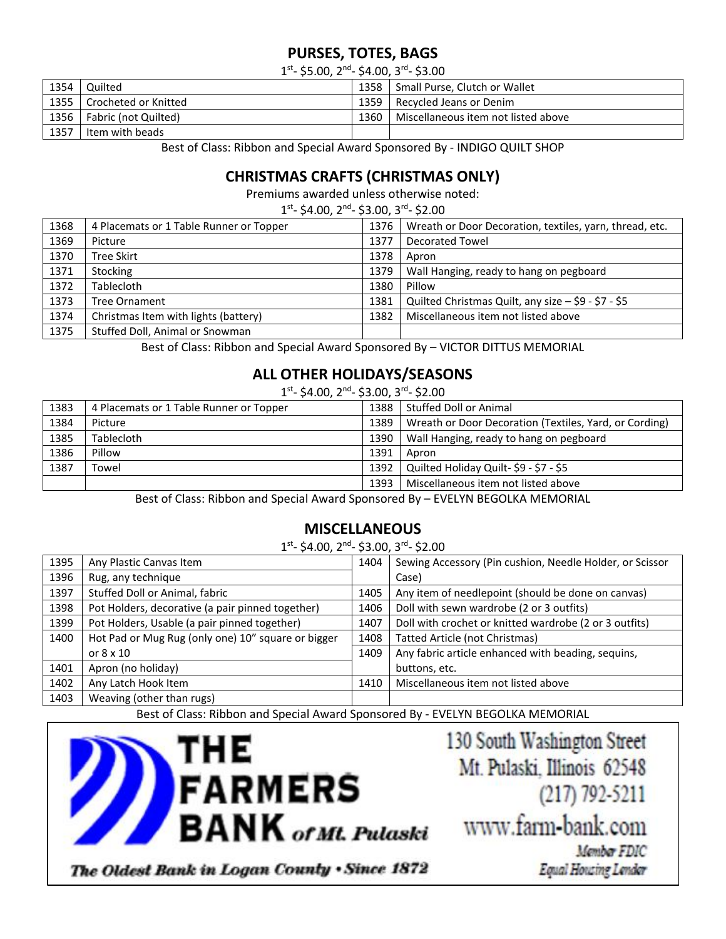# **PURSES, TOTES, BAGS**

1<sup>st</sup>- \$5.00, 2<sup>nd</sup>- \$4.00, 3<sup>rd</sup>- \$3.00

| 1354 | Quilted              | 1358 | Small Purse, Clutch or Wallet       |  |  |
|------|----------------------|------|-------------------------------------|--|--|
| 1355 | Crocheted or Knitted | 1359 | Recycled Jeans or Denim             |  |  |
| 1356 | Fabric (not Quilted) | 1360 | Miscellaneous item not listed above |  |  |
| 1357 | Item with beads      |      |                                     |  |  |

Best of Class: Ribbon and Special Award Sponsored By - INDIGO QUILT SHOP

# **CHRISTMAS CRAFTS (CHRISTMAS ONLY)**

Premiums awarded unless otherwise noted:

1<sup>st</sup>- \$4.00, 2<sup>nd</sup>- \$3.00, 3<sup>rd</sup>- \$2.00

| 1368 | 4 Placemats or 1 Table Runner or Topper | 1376 | Wreath or Door Decoration, textiles, yarn, thread, etc. |
|------|-----------------------------------------|------|---------------------------------------------------------|
| 1369 | Picture                                 | 1377 | <b>Decorated Towel</b>                                  |
| 1370 | Tree Skirt                              | 1378 | Apron                                                   |
| 1371 | Stocking                                | 1379 | Wall Hanging, ready to hang on pegboard                 |
| 1372 | Tablecloth                              | 1380 | Pillow                                                  |
| 1373 | Tree Ornament                           | 1381 | Quilted Christmas Quilt, any size - \$9 - \$7 - \$5     |
| 1374 | Christmas Item with lights (battery)    | 1382 | Miscellaneous item not listed above                     |
| 1375 | Stuffed Doll, Animal or Snowman         |      |                                                         |

Best of Class: Ribbon and Special Award Sponsored By – VICTOR DITTUS MEMORIAL

### **ALL OTHER HOLIDAYS/SEASONS**

1<sup>st</sup>- \$4.00, 2<sup>nd</sup>- \$3.00, 3<sup>rd</sup>- \$2.00

| 1383 | 4 Placemats or 1 Table Runner or Topper | 1388 | Stuffed Doll or Animal                                 |
|------|-----------------------------------------|------|--------------------------------------------------------|
| 1384 | Picture                                 | 1389 | Wreath or Door Decoration (Textiles, Yard, or Cording) |
| 1385 | Tablecloth                              | 1390 | Wall Hanging, ready to hang on pegboard                |
| 1386 | Pillow                                  | 1391 | Apron                                                  |
| 1387 | Towel                                   | 1392 | Quilted Holiday Quilt- \$9 - \$7 - \$5                 |
|      |                                         | 1393 | Miscellaneous item not listed above                    |

Best of Class: Ribbon and Special Award Sponsored By – EVELYN BEGOLKA MEMORIAL

### **MISCELLANEOUS**

1<sup>st</sup>- \$4.00, 2<sup>nd</sup>- \$3.00, 3<sup>rd</sup>- \$2.00

| 1395 | Any Plastic Canvas Item                            | 1404 | Sewing Accessory (Pin cushion, Needle Holder, or Scissor |
|------|----------------------------------------------------|------|----------------------------------------------------------|
| 1396 | Rug, any technique                                 |      | Case)                                                    |
| 1397 | Stuffed Doll or Animal, fabric                     | 1405 | Any item of needlepoint (should be done on canvas)       |
| 1398 | Pot Holders, decorative (a pair pinned together)   | 1406 | Doll with sewn wardrobe (2 or 3 outfits)                 |
| 1399 | Pot Holders, Usable (a pair pinned together)       | 1407 | Doll with crochet or knitted wardrobe (2 or 3 outfits)   |
| 1400 | Hot Pad or Mug Rug (only one) 10" square or bigger | 1408 | <b>Tatted Article (not Christmas)</b>                    |
|      | or $8 \times 10$                                   | 1409 | Any fabric article enhanced with beading, sequins,       |
| 1401 | Apron (no holiday)                                 |      | buttons, etc.                                            |
| 1402 | Any Latch Hook Item                                | 1410 | Miscellaneous item not listed above                      |
| 1403 | Weaving (other than rugs)                          |      |                                                          |

Best of Class: Ribbon and Special Award Sponsored By - EVELYN BEGOLKA MEMORIAL